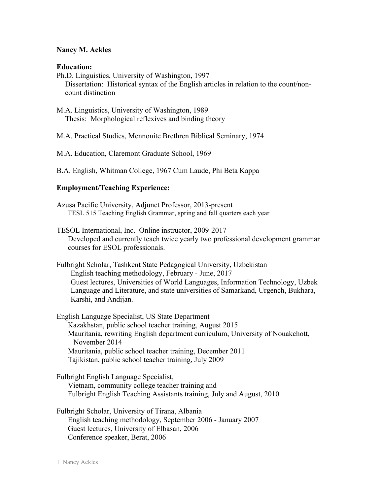## **Nancy M. Ackles**

### **Education:**

Ph.D. Linguistics, University of Washington, 1997 Dissertation: Historical syntax of the English articles in relation to the count/noncount distinction

M.A. Linguistics, University of Washington, 1989 Thesis: Morphological reflexives and binding theory

M.A. Practical Studies, Mennonite Brethren Biblical Seminary, 1974

M.A. Education, Claremont Graduate School, 1969

B.A. English, Whitman College, 1967 Cum Laude, Phi Beta Kappa

## **Employment/Teaching Experience:**

Azusa Pacific University, Adjunct Professor, 2013-present TESL 515 Teaching English Grammar, spring and fall quarters each year

TESOL International, Inc. Online instructor, 2009-2017 Developed and currently teach twice yearly two professional development grammar courses for ESOL professionals.

Fulbright Scholar, Tashkent State Pedagogical University, Uzbekistan English teaching methodology, February - June, 2017 Guest lectures, Universities of World Languages, Information Technology, Uzbek Language and Literature, and state universities of Samarkand, Urgench, Bukhara, Karshi, and Andijan.

English Language Specialist, US State Department Kazakhstan, public school teacher training, August 2015 Mauritania, rewriting English department curriculum, University of Nouakchott, November 2014 Mauritania, public school teacher training, December 2011 Tajikistan, public school teacher training, July 2009

Fulbright English Language Specialist, Vietnam, community college teacher training and Fulbright English Teaching Assistants training, July and August, 2010

Fulbright Scholar, University of Tirana, Albania English teaching methodology, September 2006 - January 2007 Guest lectures, University of Elbasan, 2006 Conference speaker, Berat, 2006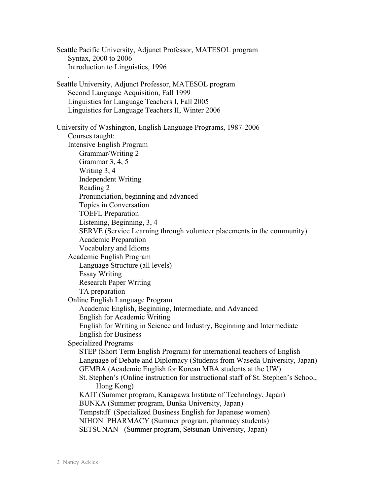Seattle Pacific University, Adjunct Professor, MATESOL program Syntax, 2000 to 2006 Introduction to Linguistics, 1996 . Seattle University, Adjunct Professor, MATESOL program Second Language Acquisition, Fall 1999 Linguistics for Language Teachers I, Fall 2005 Linguistics for Language Teachers II, Winter 2006 University of Washington, English Language Programs, 1987-2006 Courses taught: Intensive English Program Grammar/Writing 2 Grammar 3, 4, 5 Writing 3, 4 Independent Writing Reading 2 Pronunciation, beginning and advanced Topics in Conversation TOEFL Preparation Listening, Beginning, 3, 4 SERVE (Service Learning through volunteer placements in the community) Academic Preparation Vocabulary and Idioms Academic English Program Language Structure (all levels) Essay Writing Research Paper Writing TA preparation Online English Language Program Academic English, Beginning, Intermediate, and Advanced English for Academic Writing English for Writing in Science and Industry, Beginning and Intermediate English for Business Specialized Programs STEP (Short Term English Program) for international teachers of English Language of Debate and Diplomacy (Students from Waseda University, Japan) GEMBA (Academic English for Korean MBA students at the UW) St. Stephen's (Online instruction for instructional staff of St. Stephen's School, Hong Kong) KAIT (Summer program, Kanagawa Institute of Technology, Japan) BUNKA (Summer program, Bunka University, Japan) Tempstaff (Specialized Business English for Japanese women) NIHON PHARMACY (Summer program, pharmacy students) SETSUNAN (Summer program, Setsunan University, Japan)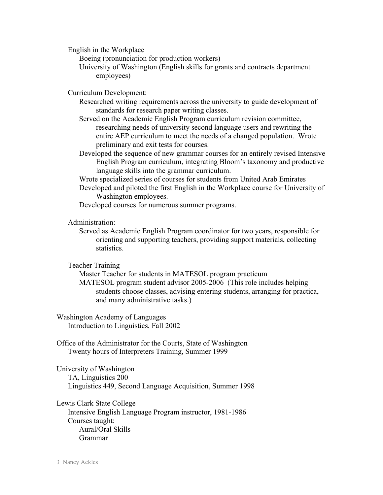English in the Workplace

Boeing (pronunciation for production workers)

University of Washington (English skills for grants and contracts department employees)

Curriculum Development:

- Researched writing requirements across the university to guide development of standards for research paper writing classes.
- Served on the Academic English Program curriculum revision committee, researching needs of university second language users and rewriting the entire AEP curriculum to meet the needs of a changed population. Wrote preliminary and exit tests for courses.
- Developed the sequence of new grammar courses for an entirely revised Intensive English Program curriculum, integrating Bloom's taxonomy and productive language skills into the grammar curriculum.

Wrote specialized series of courses for students from United Arab Emirates

Developed and piloted the first English in the Workplace course for University of Washington employees.

Developed courses for numerous summer programs.

Administration:

Served as Academic English Program coordinator for two years, responsible for orienting and supporting teachers, providing support materials, collecting statistics.

Teacher Training

Master Teacher for students in MATESOL program practicum MATESOL program student advisor 2005-2006 (This role includes helping students choose classes, advising entering students, arranging for practica, and many administrative tasks.)

Washington Academy of Languages Introduction to Linguistics, Fall 2002

Office of the Administrator for the Courts, State of Washington Twenty hours of Interpreters Training, Summer 1999

University of Washington TA, Linguistics 200 Linguistics 449, Second Language Acquisition, Summer 1998

Lewis Clark State College Intensive English Language Program instructor, 1981-1986 Courses taught: Aural/Oral Skills Grammar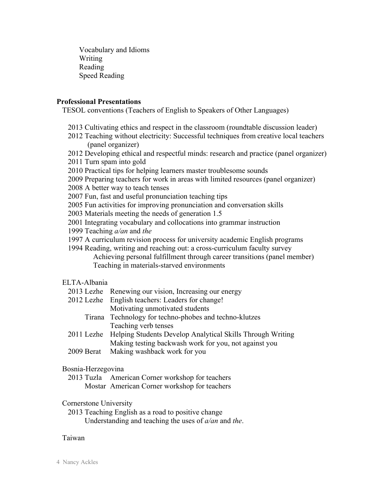Vocabulary and Idioms Writing Reading Speed Reading

### **Professional Presentations**

TESOL conventions (Teachers of English to Speakers of Other Languages)

- 2013 Cultivating ethics and respect in the classroom (roundtable discussion leader)
- 2012 Teaching without electricity: Successful techniques from creative local teachers (panel organizer)
- 2012 Developing ethical and respectful minds: research and practice (panel organizer)
- 2011 Turn spam into gold
- 2010 Practical tips for helping learners master troublesome sounds
- 2009 Preparing teachers for work in areas with limited resources (panel organizer)

2008 A better way to teach tenses

2007 Fun, fast and useful pronunciation teaching tips

2005 Fun activities for improving pronunciation and conversation skills

2003 Materials meeting the needs of generation 1.5

2001 Integrating vocabulary and collocations into grammar instruction

- 1999 Teaching *a/an* and *the*
- 1997 A curriculum revision process for university academic English programs

1994 Reading, writing and reaching out: a cross-curriculum faculty survey Achieving personal fulfillment through career transitions (panel member) Teaching in materials-starved environments

# ELTA-Albania

- 2013 Lezhe Renewing our vision, Increasing our energy
- 2012 Lezhe English teachers: Leaders for change! Motivating unmotivated students
	- Tirana Technology for techno-phobes and techno-klutzes Teaching verb tenses
- 2011 Lezhe Helping Students Develop Analytical Skills Through Writing Making testing backwash work for you, not against you
- 2009 Berat Making washback work for you

# Bosnia-Herzegovina

2013 Tuzla American Corner workshop for teachers Mostar American Corner workshop for teachers

# Cornerstone University

2013 Teaching English as a road to positive change Understanding and teaching the uses of *a/an* and *the*.

### Taiwan